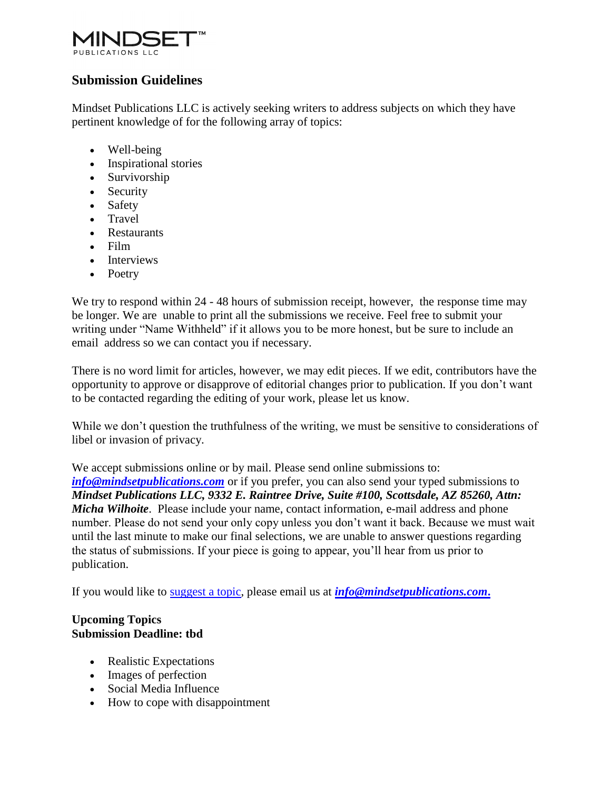

## **Submission Guidelines**

Mindset Publications LLC is actively seeking writers to address subjects on which they have pertinent knowledge of for the following array of topics:

- Well-being
- Inspirational stories
- Survivorship
- Security
- Safety
- Travel
- Restaurants
- Film
- Interviews
- Poetry

We try to respond within 24 - 48 hours of submission receipt, however, the response time may be longer. We are unable to print all the submissions we receive. Feel free to submit your writing under "Name Withheld" if it allows you to be more honest, but be sure to include an email address so we can contact you if necessary.

There is no word limit for articles, however, we may edit pieces. If we edit, contributors have the opportunity to approve or disapprove of editorial changes prior to publication. If you don't want to be contacted regarding the editing of your work, please let us know.

While we don't question the truthfulness of the writing, we must be sensitive to considerations of libel or invasion of privacy.

We accept submissions online or by mail. Please send online submissions to: *[info@mindsetpublications.com](http://info@mindsetpublications.com/)* or if you prefer, you can also send your typed submissions to *Mindset Publications LLC, 9332 E. Raintree Drive, Suite #100, Scottsdale, AZ 85260, Attn: Micha Wilhoite*. Please include your name, contact information, e-mail address and phone number. Please do not send your only copy unless you don't want it back. Because we must wait until the last minute to make our final selections, we are unable to answer questions regarding the status of submissions. If your piece is going to appear, you'll hear from us prior to publication.

If you would like to [suggest a topic,](http://thesunmagazine.org/about/submission_guidelines/get_involved/suggest) please email us at *[info@mindsetpublications.com](http://info@mindsetpublications.com/)***.**

## **Upcoming Topics Submission Deadline: tbd**

- Realistic Expectations
- Images of perfection
- Social Media Influence
- How to cope with disappointment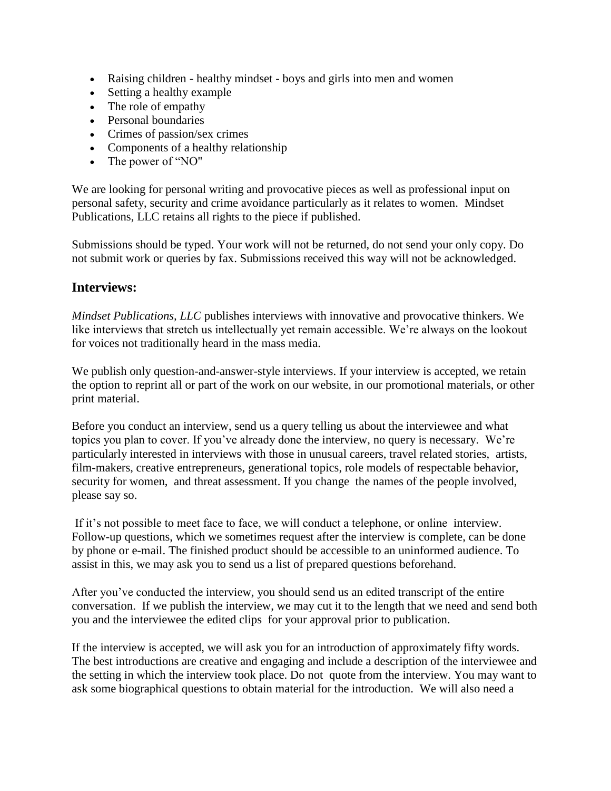- Raising children healthy mindset boys and girls into men and women
- Setting a healthy example
- The role of empathy
- Personal boundaries
- Crimes of passion/sex crimes
- Components of a healthy relationship
- The power of "NO"

We are looking for personal writing and provocative pieces as well as professional input on personal safety, security and crime avoidance particularly as it relates to women. Mindset Publications, LLC retains all rights to the piece if published.

Submissions should be typed. Your work will not be returned, do not send your only copy. Do not submit work or queries by fax. Submissions received this way will not be acknowledged.

## **Interviews:**

*Mindset Publications, LLC* publishes interviews with innovative and provocative thinkers. We like interviews that stretch us intellectually yet remain accessible. We're always on the lookout for voices not traditionally heard in the mass media.

We publish only question-and-answer-style interviews. If your interview is accepted, we retain the option to reprint all or part of the work on our website, in our promotional materials, or other print material.

Before you conduct an interview, send us a query telling us about the interviewee and what topics you plan to cover. If you've already done the interview, no query is necessary. We're particularly interested in interviews with those in unusual careers, travel related stories, artists, film-makers, creative entrepreneurs, generational topics, role models of respectable behavior, security for women, and threat assessment. If you change the names of the people involved, please say so.

If it's not possible to meet face to face, we will conduct a telephone, or online interview. Follow-up questions, which we sometimes request after the interview is complete, can be done by phone or e-mail. The finished product should be accessible to an uninformed audience. To assist in this, we may ask you to send us a list of prepared questions beforehand.

After you've conducted the interview, you should send us an edited transcript of the entire conversation. If we publish the interview, we may cut it to the length that we need and send both you and the interviewee the edited clips for your approval prior to publication.

If the interview is accepted, we will ask you for an introduction of approximately fifty words. The best introductions are creative and engaging and include a description of the interviewee and the setting in which the interview took place. Do not quote from the interview. You may want to ask some biographical questions to obtain material for the introduction. We will also need a